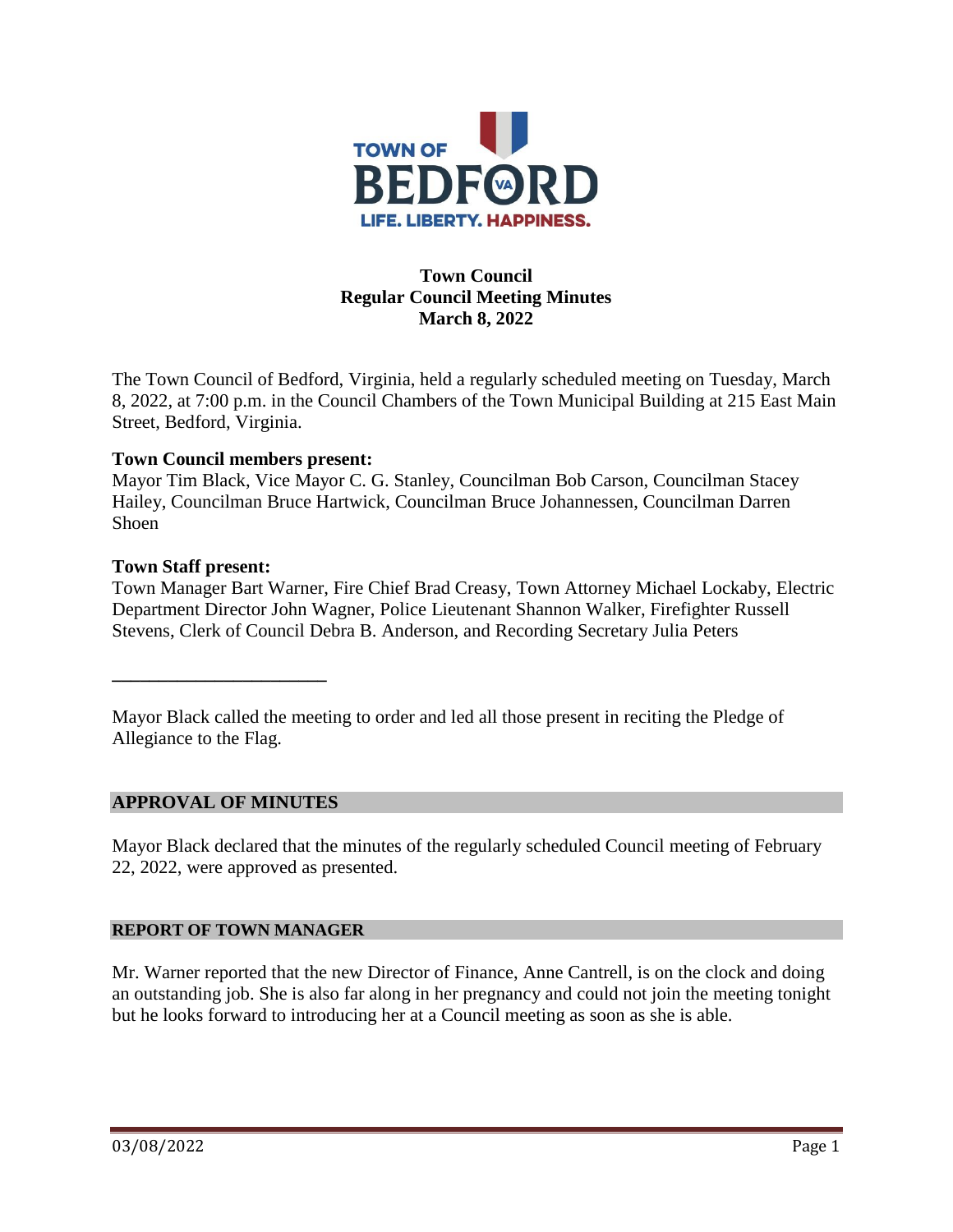

# **Town Council Regular Council Meeting Minutes March 8, 2022**

The Town Council of Bedford, Virginia, held a regularly scheduled meeting on Tuesday, March 8, 2022, at 7:00 p.m. in the Council Chambers of the Town Municipal Building at 215 East Main Street, Bedford, Virginia.

### **Town Council members present:**

Mayor Tim Black, Vice Mayor C. G. Stanley, Councilman Bob Carson, Councilman Stacey Hailey, Councilman Bruce Hartwick, Councilman Bruce Johannessen, Councilman Darren Shoen

#### **Town Staff present:**

Town Manager Bart Warner, Fire Chief Brad Creasy, Town Attorney Michael Lockaby, Electric Department Director John Wagner, Police Lieutenant Shannon Walker, Firefighter Russell Stevens, Clerk of Council Debra B. Anderson, and Recording Secretary Julia Peters

Mayor Black called the meeting to order and led all those present in reciting the Pledge of Allegiance to the Flag.

#### **APPROVAL OF MINUTES**

**\_\_\_\_\_\_\_\_\_\_\_\_\_\_\_\_\_\_\_\_\_\_\_**

Mayor Black declared that the minutes of the regularly scheduled Council meeting of February 22, 2022, were approved as presented.

#### **REPORT OF TOWN MANAGER**

Mr. Warner reported that the new Director of Finance, Anne Cantrell, is on the clock and doing an outstanding job. She is also far along in her pregnancy and could not join the meeting tonight but he looks forward to introducing her at a Council meeting as soon as she is able.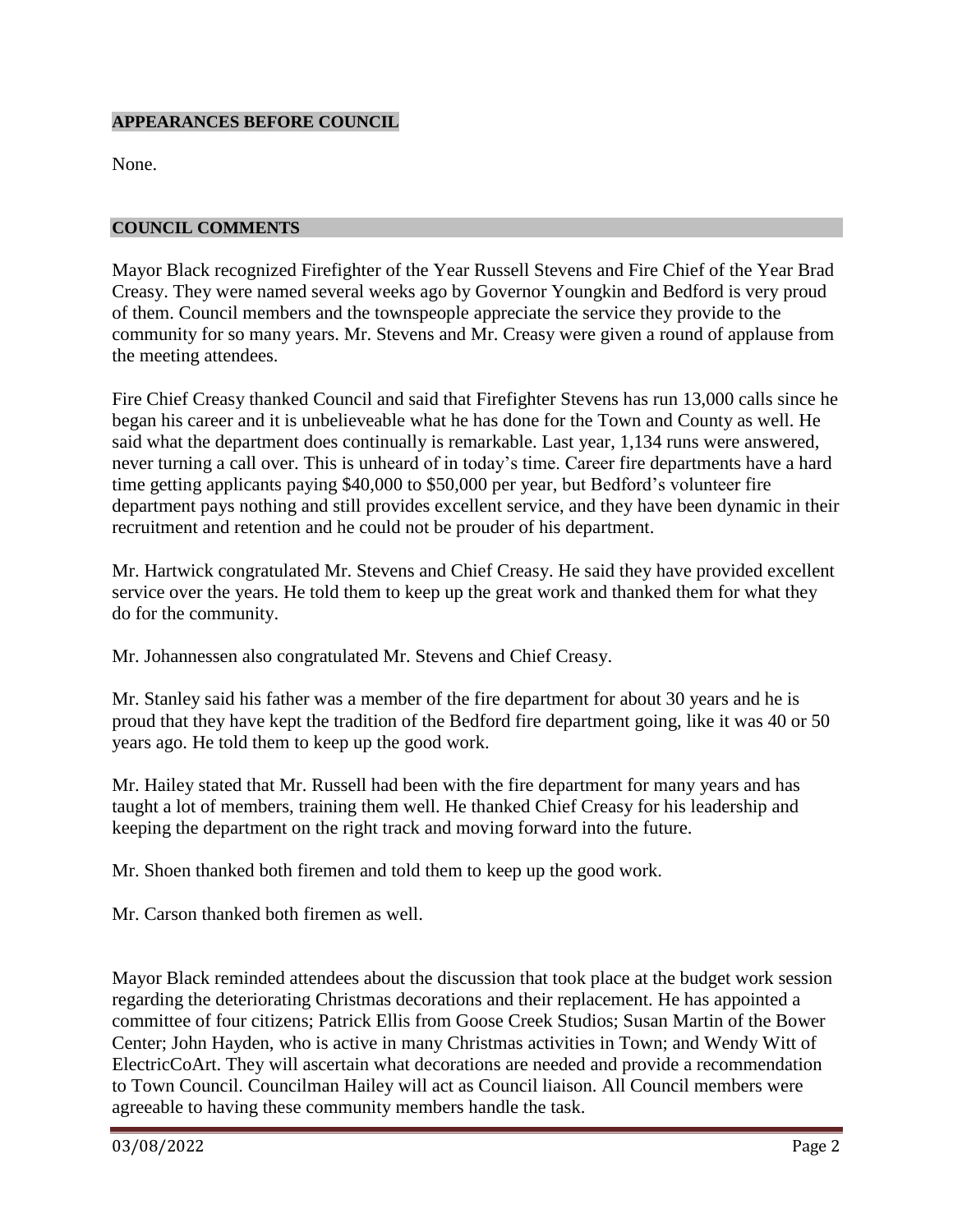## **APPEARANCES BEFORE COUNCIL**

None.

### **COUNCIL COMMENTS**

Mayor Black recognized Firefighter of the Year Russell Stevens and Fire Chief of the Year Brad Creasy. They were named several weeks ago by Governor Youngkin and Bedford is very proud of them. Council members and the townspeople appreciate the service they provide to the community for so many years. Mr. Stevens and Mr. Creasy were given a round of applause from the meeting attendees.

Fire Chief Creasy thanked Council and said that Firefighter Stevens has run 13,000 calls since he began his career and it is unbelieveable what he has done for the Town and County as well. He said what the department does continually is remarkable. Last year, 1,134 runs were answered, never turning a call over. This is unheard of in today's time. Career fire departments have a hard time getting applicants paying \$40,000 to \$50,000 per year, but Bedford's volunteer fire department pays nothing and still provides excellent service, and they have been dynamic in their recruitment and retention and he could not be prouder of his department.

Mr. Hartwick congratulated Mr. Stevens and Chief Creasy. He said they have provided excellent service over the years. He told them to keep up the great work and thanked them for what they do for the community.

Mr. Johannessen also congratulated Mr. Stevens and Chief Creasy.

Mr. Stanley said his father was a member of the fire department for about 30 years and he is proud that they have kept the tradition of the Bedford fire department going, like it was 40 or 50 years ago. He told them to keep up the good work.

Mr. Hailey stated that Mr. Russell had been with the fire department for many years and has taught a lot of members, training them well. He thanked Chief Creasy for his leadership and keeping the department on the right track and moving forward into the future.

Mr. Shoen thanked both firemen and told them to keep up the good work.

Mr. Carson thanked both firemen as well.

Mayor Black reminded attendees about the discussion that took place at the budget work session regarding the deteriorating Christmas decorations and their replacement. He has appointed a committee of four citizens; Patrick Ellis from Goose Creek Studios; Susan Martin of the Bower Center; John Hayden, who is active in many Christmas activities in Town; and Wendy Witt of ElectricCoArt. They will ascertain what decorations are needed and provide a recommendation to Town Council. Councilman Hailey will act as Council liaison. All Council members were agreeable to having these community members handle the task.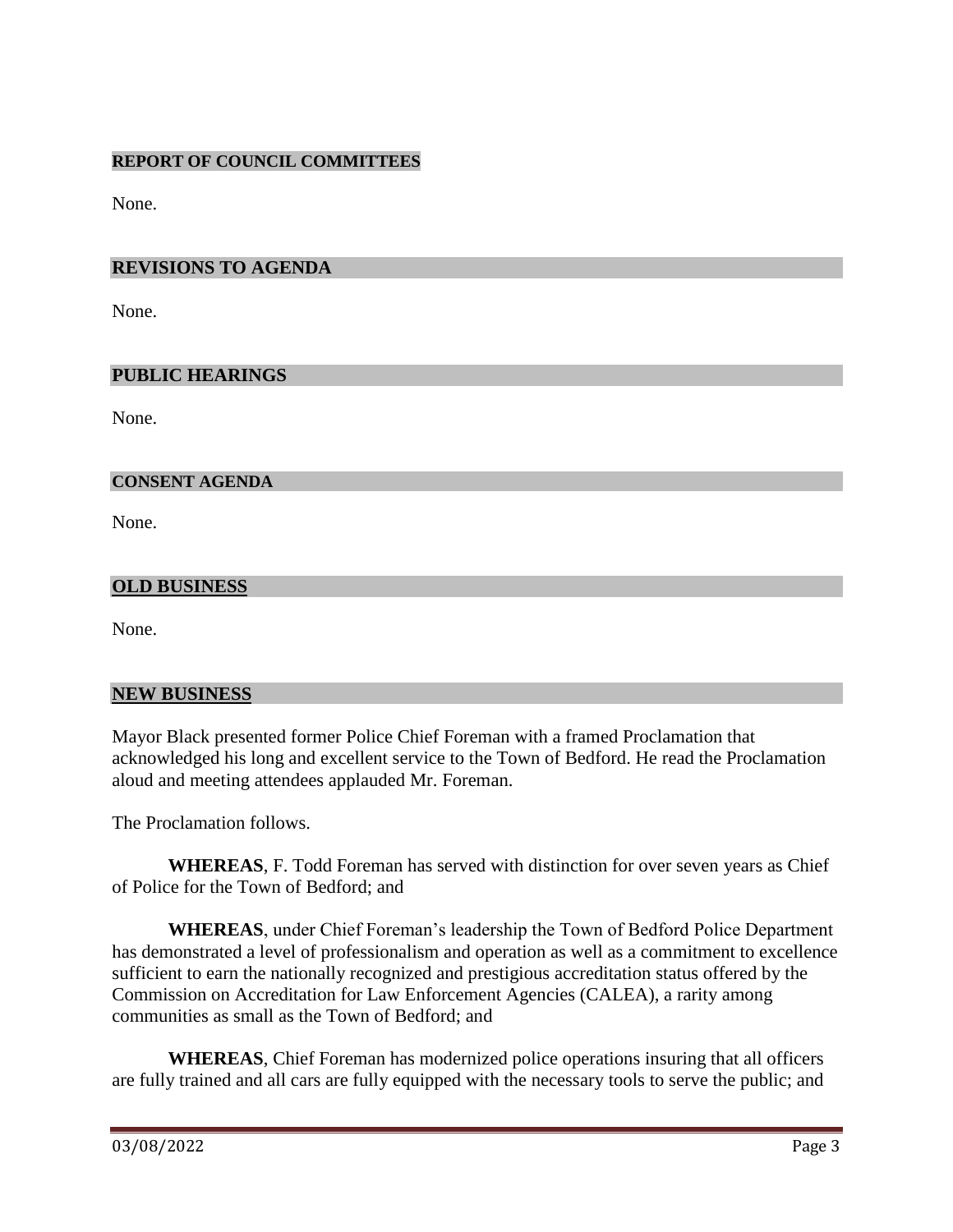### **REPORT OF COUNCIL COMMITTEES**

None.

## **REVISIONS TO AGENDA**

None.

### **PUBLIC HEARINGS**

None.

#### **CONSENT AGENDA**

None.

### **OLD BUSINESS**

None.

#### **NEW BUSINESS**

Mayor Black presented former Police Chief Foreman with a framed Proclamation that acknowledged his long and excellent service to the Town of Bedford. He read the Proclamation aloud and meeting attendees applauded Mr. Foreman.

The Proclamation follows.

**WHEREAS**, F. Todd Foreman has served with distinction for over seven years as Chief of Police for the Town of Bedford; and

**WHEREAS**, under Chief Foreman's leadership the Town of Bedford Police Department has demonstrated a level of professionalism and operation as well as a commitment to excellence sufficient to earn the nationally recognized and prestigious accreditation status offered by the Commission on Accreditation for Law Enforcement Agencies (CALEA), a rarity among communities as small as the Town of Bedford; and

**WHEREAS**, Chief Foreman has modernized police operations insuring that all officers are fully trained and all cars are fully equipped with the necessary tools to serve the public; and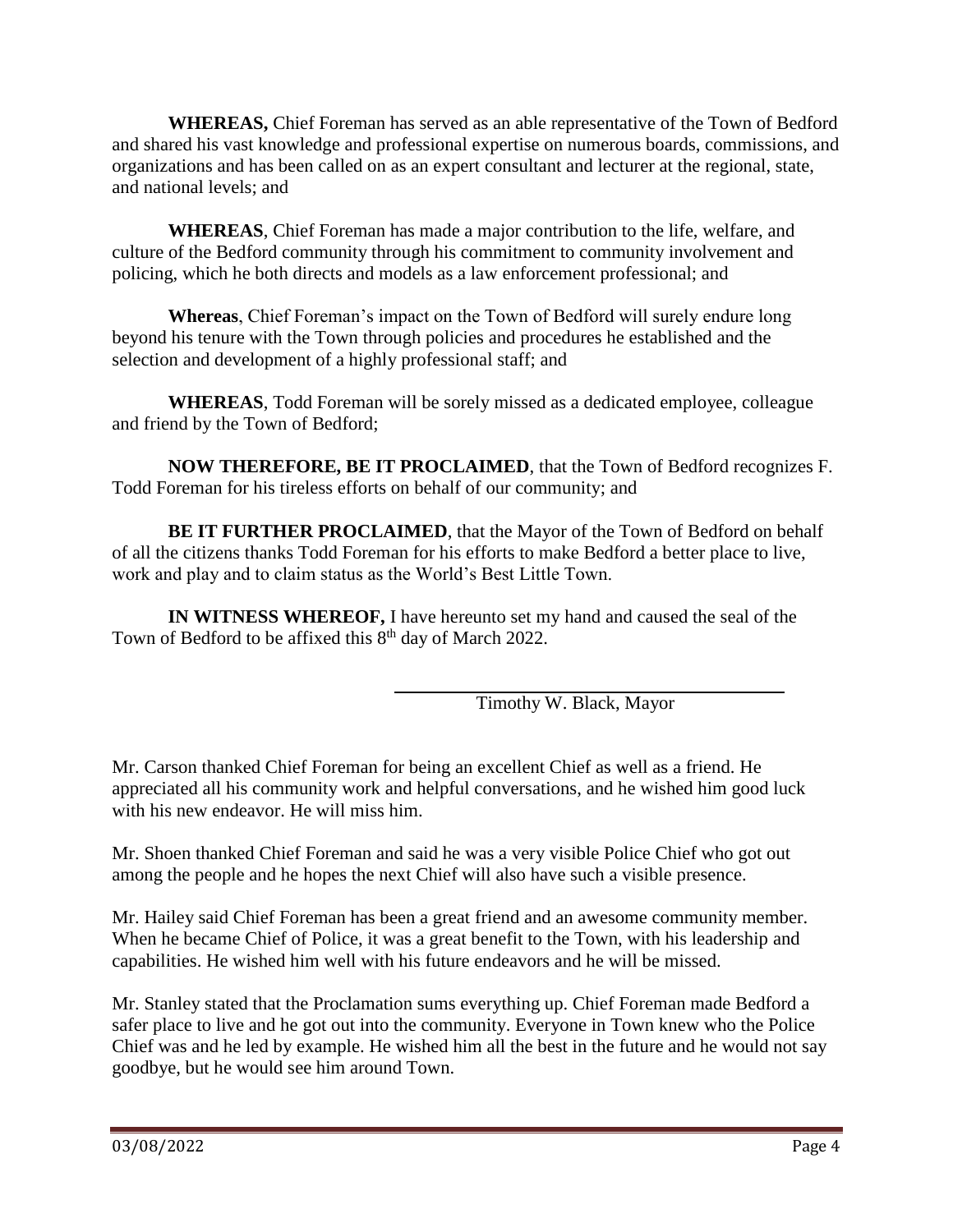**WHEREAS,** Chief Foreman has served as an able representative of the Town of Bedford and shared his vast knowledge and professional expertise on numerous boards, commissions, and organizations and has been called on as an expert consultant and lecturer at the regional, state, and national levels; and

**WHEREAS**, Chief Foreman has made a major contribution to the life, welfare, and culture of the Bedford community through his commitment to community involvement and policing, which he both directs and models as a law enforcement professional; and

**Whereas**, Chief Foreman's impact on the Town of Bedford will surely endure long beyond his tenure with the Town through policies and procedures he established and the selection and development of a highly professional staff; and

**WHEREAS**, Todd Foreman will be sorely missed as a dedicated employee, colleague and friend by the Town of Bedford;

**NOW THEREFORE, BE IT PROCLAIMED**, that the Town of Bedford recognizes F. Todd Foreman for his tireless efforts on behalf of our community; and

**BE IT FURTHER PROCLAIMED**, that the Mayor of the Town of Bedford on behalf of all the citizens thanks Todd Foreman for his efforts to make Bedford a better place to live, work and play and to claim status as the World's Best Little Town.

**IN WITNESS WHEREOF,** I have hereunto set my hand and caused the seal of the Town of Bedford to be affixed this  $8<sup>th</sup>$  day of March 2022.

Timothy W. Black, Mayor

Mr. Carson thanked Chief Foreman for being an excellent Chief as well as a friend. He appreciated all his community work and helpful conversations, and he wished him good luck with his new endeavor. He will miss him.

Mr. Shoen thanked Chief Foreman and said he was a very visible Police Chief who got out among the people and he hopes the next Chief will also have such a visible presence.

Mr. Hailey said Chief Foreman has been a great friend and an awesome community member. When he became Chief of Police, it was a great benefit to the Town, with his leadership and capabilities. He wished him well with his future endeavors and he will be missed.

Mr. Stanley stated that the Proclamation sums everything up. Chief Foreman made Bedford a safer place to live and he got out into the community. Everyone in Town knew who the Police Chief was and he led by example. He wished him all the best in the future and he would not say goodbye, but he would see him around Town.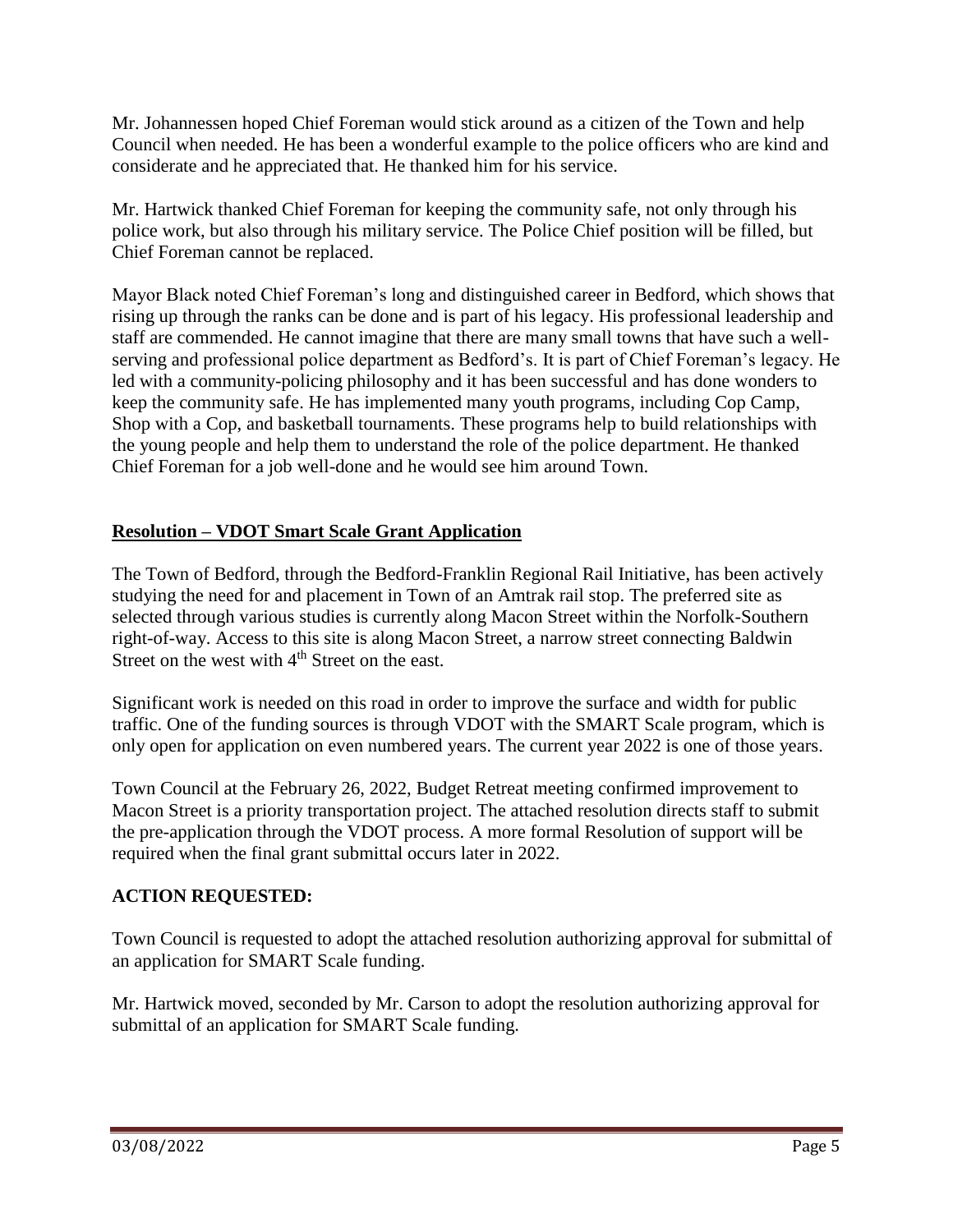Mr. Johannessen hoped Chief Foreman would stick around as a citizen of the Town and help Council when needed. He has been a wonderful example to the police officers who are kind and considerate and he appreciated that. He thanked him for his service.

Mr. Hartwick thanked Chief Foreman for keeping the community safe, not only through his police work, but also through his military service. The Police Chief position will be filled, but Chief Foreman cannot be replaced.

Mayor Black noted Chief Foreman's long and distinguished career in Bedford, which shows that rising up through the ranks can be done and is part of his legacy. His professional leadership and staff are commended. He cannot imagine that there are many small towns that have such a wellserving and professional police department as Bedford's. It is part of Chief Foreman's legacy. He led with a community-policing philosophy and it has been successful and has done wonders to keep the community safe. He has implemented many youth programs, including Cop Camp, Shop with a Cop, and basketball tournaments. These programs help to build relationships with the young people and help them to understand the role of the police department. He thanked Chief Foreman for a job well-done and he would see him around Town.

# **Resolution – VDOT Smart Scale Grant Application**

The Town of Bedford, through the Bedford-Franklin Regional Rail Initiative, has been actively studying the need for and placement in Town of an Amtrak rail stop. The preferred site as selected through various studies is currently along Macon Street within the Norfolk-Southern right-of-way. Access to this site is along Macon Street, a narrow street connecting Baldwin Street on the west with 4<sup>th</sup> Street on the east.

Significant work is needed on this road in order to improve the surface and width for public traffic. One of the funding sources is through VDOT with the SMART Scale program, which is only open for application on even numbered years. The current year 2022 is one of those years.

Town Council at the February 26, 2022, Budget Retreat meeting confirmed improvement to Macon Street is a priority transportation project. The attached resolution directs staff to submit the pre-application through the VDOT process. A more formal Resolution of support will be required when the final grant submittal occurs later in 2022.

# **ACTION REQUESTED:**

Town Council is requested to adopt the attached resolution authorizing approval for submittal of an application for SMART Scale funding.

Mr. Hartwick moved, seconded by Mr. Carson to adopt the resolution authorizing approval for submittal of an application for SMART Scale funding.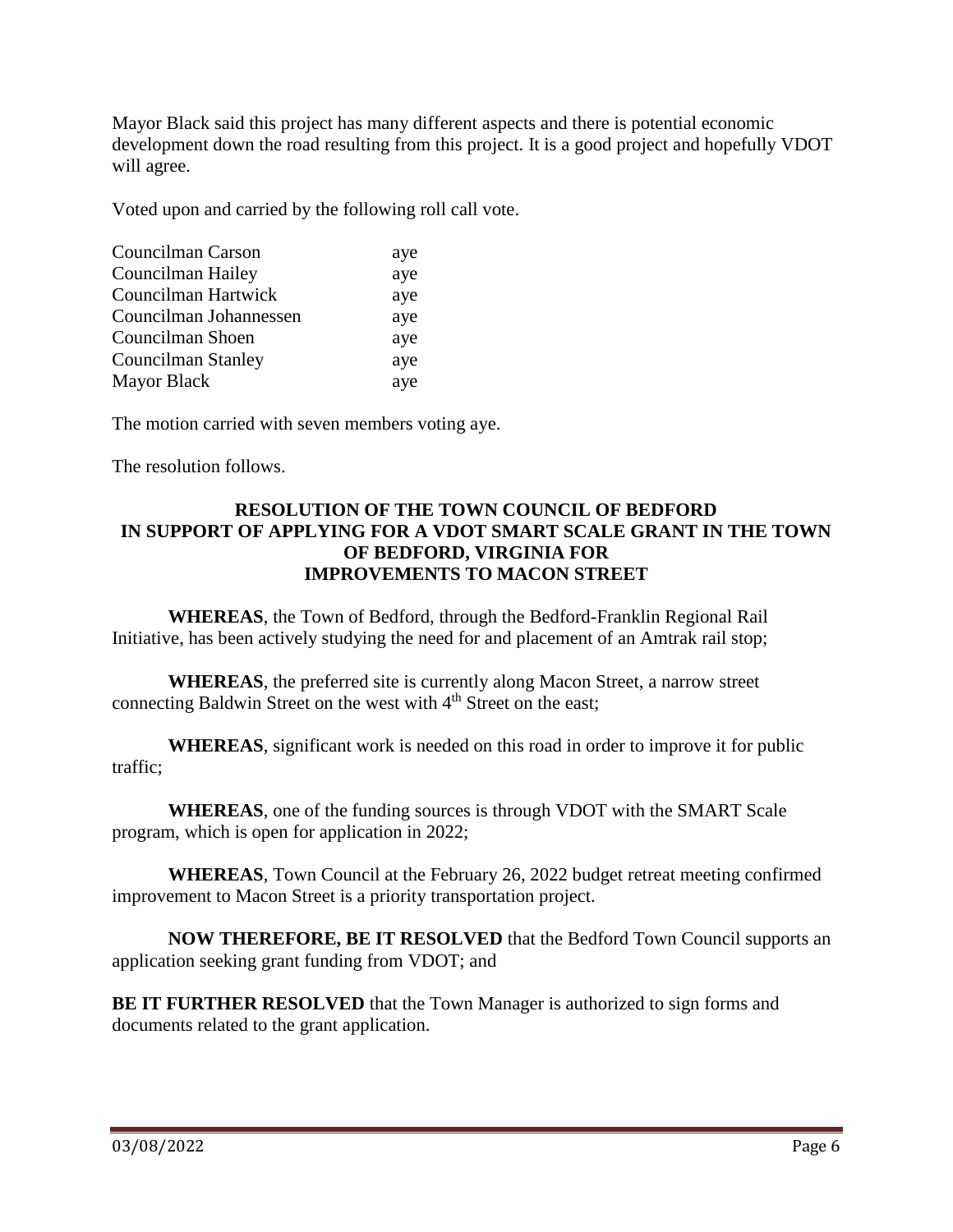Mayor Black said this project has many different aspects and there is potential economic development down the road resulting from this project. It is a good project and hopefully VDOT will agree.

Voted upon and carried by the following roll call vote.

| Councilman Carson      | aye |
|------------------------|-----|
| Councilman Hailey      | aye |
| Councilman Hartwick    | aye |
| Councilman Johannessen | aye |
| Councilman Shoen       | aye |
| Councilman Stanley     | aye |
| <b>Mayor Black</b>     | aye |

The motion carried with seven members voting aye.

The resolution follows.

## **RESOLUTION OF THE TOWN COUNCIL OF BEDFORD IN SUPPORT OF APPLYING FOR A VDOT SMART SCALE GRANT IN THE TOWN OF BEDFORD, VIRGINIA FOR IMPROVEMENTS TO MACON STREET**

**WHEREAS**, the Town of Bedford, through the Bedford-Franklin Regional Rail Initiative, has been actively studying the need for and placement of an Amtrak rail stop;

**WHEREAS**, the preferred site is currently along Macon Street, a narrow street connecting Baldwin Street on the west with  $4<sup>th</sup>$  Street on the east;

**WHEREAS**, significant work is needed on this road in order to improve it for public traffic;

**WHEREAS**, one of the funding sources is through VDOT with the SMART Scale program, which is open for application in 2022;

**WHEREAS**, Town Council at the February 26, 2022 budget retreat meeting confirmed improvement to Macon Street is a priority transportation project.

**NOW THEREFORE, BE IT RESOLVED** that the Bedford Town Council supports an application seeking grant funding from VDOT; and

**BE IT FURTHER RESOLVED** that the Town Manager is authorized to sign forms and documents related to the grant application.